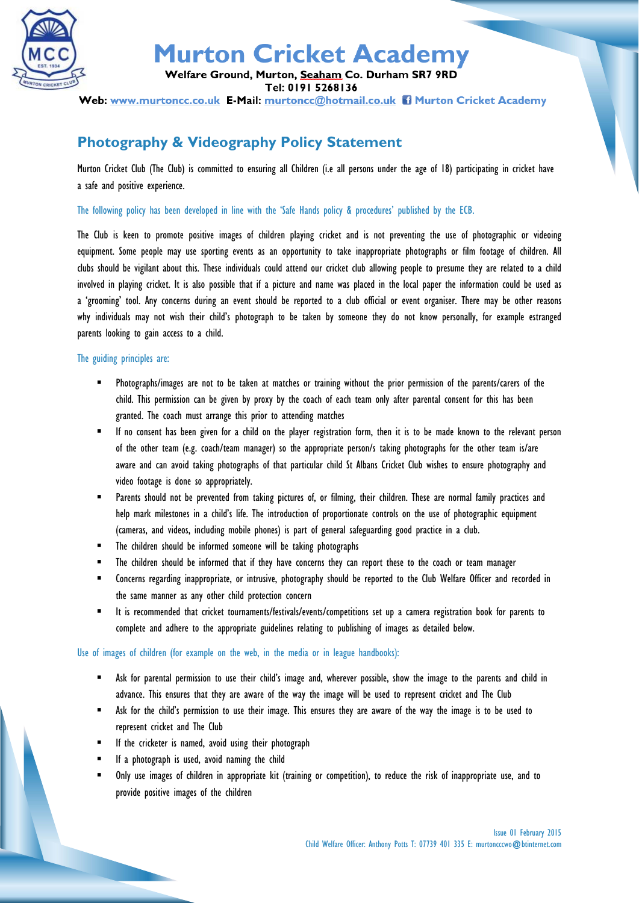

## **Murton Cricket Academy**

Welfare Ground, Murton, Seaham Co. Durham SR7 9RD

Tel: 0191 5268136

Web: www.murtoncc.co.uk E-Mail: murtoncc@hotmail.co.uk ii Murton Cricket Academy

### **Photography & Videography Policy Statement**

Murton Cricket Club (The Club) is committed to ensuring all Children (i.e all persons under the age of 18) participating in cricket have a safe and positive experience.

The following policy has been developed in line with the 'Safe Hands policy & procedures' published by the ECB.

The Club is keen to promote positive images of children playing cricket and is not preventing the use of photographic or videoing equipment. Some people may use sporting events as an opportunity to take inappropriate photographs or film footage of children. All clubs should be vigilant about this. These individuals could attend our cricket club allowing people to presume they are related to a child involved in playing cricket. It is also possible that if a picture and name was placed in the local paper the information could be used as a 'grooming' tool. Any concerns during an event should be reported to a club official or event organiser. There may be other reasons why individuals may not wish their child's photograph to be taken by someone they do not know personally, for example estranged parents looking to gain access to a child.

#### The guiding principles are:

- Photographs/images are not to be taken at matches or training without the prior permission of the parents/carers of the child. This permission can be given by proxy by the coach of each team only after parental consent for this has been granted. The coach must arrange this prior to attending matches
- If no consent has been given for a child on the player registration form, then it is to be made known to the relevant person of the other team (e.g. coach/team manager) so the appropriate person/s taking photographs for the other team is/are aware and can avoid taking photographs of that particular child St Albans Cricket Club wishes to ensure photography and video footage is done so appropriately.
- Parents should not be prevented from taking pictures of, or filming, their children. These are normal family practices and help mark milestones in a child's life. The introduction of proportionate controls on the use of photographic equipment (cameras, and videos, including mobile phones) is part of general safeguarding good practice in a club.
- The children should be informed someone will be taking photographs
- The children should be informed that if they have concerns they can report these to the coach or team manager
- Concerns regarding inappropriate, or intrusive, photography should be reported to the Club Welfare Officer and recorded in the same manner as any other child protection concern
- It is recommended that cricket tournaments/festivals/events/competitions set up a camera registration book for parents to complete and adhere to the appropriate guidelines relating to publishing of images as detailed below.

#### Use of images of children (for example on the web, in the media or in league handbooks):

- Ask for parental permission to use their child's image and, wherever possible, show the image to the parents and child in advance. This ensures that they are aware of the way the image will be used to represent cricket and The Club
- Ask for the child's permission to use their image. This ensures they are aware of the way the image is to be used to represent cricket and The Club
- If the cricketer is named, avoid using their photograph
- If a photograph is used, avoid naming the child
- Only use images of children in appropriate kit (training or competition), to reduce the risk of inappropriate use, and to provide positive images of the children